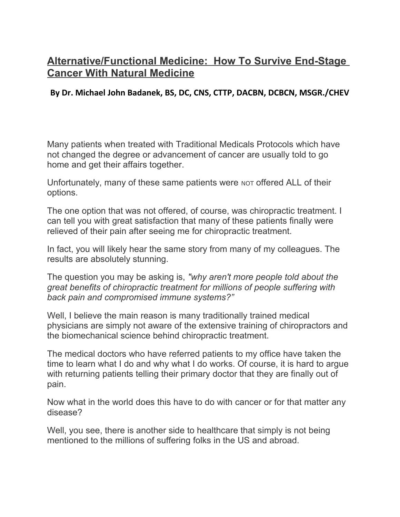## **Alternative/Functional Medicine: How To Survive End-Stage Cancer With Natural Medicine**

## **By Dr. Michael John Badanek, BS, DC, CNS, CTTP, DACBN, DCBCN, MSGR./CHEV**

Many patients when treated with Traditional Medicals Protocols which have not changed the degree or advancement of cancer are usually told to go home and get their affairs together.

Unfortunately, many of these same patients were NOT offered ALL of their options.

The one option that was not offered, of course, was chiropractic treatment. I can tell you with great satisfaction that many of these patients finally were relieved of their pain after seeing me for chiropractic treatment.

In fact, you will likely hear the same story from many of my colleagues. The results are absolutely stunning.

The question you may be asking is, *"why aren't more people told about the great benefits of chiropractic treatment for millions of people suffering with back pain and compromised immune systems?"*

Well, I believe the main reason is many traditionally trained medical physicians are simply not aware of the extensive training of chiropractors and the biomechanical science behind chiropractic treatment.

The medical doctors who have referred patients to my office have taken the time to learn what I do and why what I do works. Of course, it is hard to argue with returning patients telling their primary doctor that they are finally out of pain.

Now what in the world does this have to do with cancer or for that matter any disease?

Well, you see, there is another side to healthcare that simply is not being mentioned to the millions of suffering folks in the US and abroad.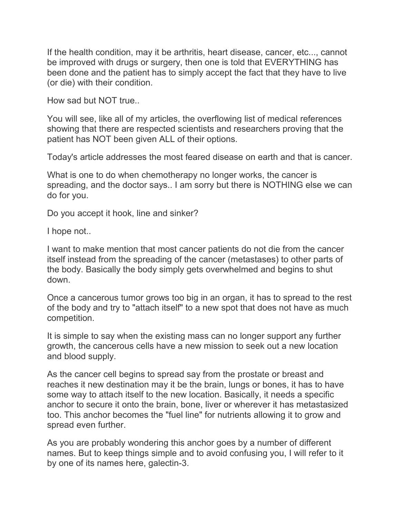If the health condition, may it be arthritis, heart disease, cancer, etc..., cannot be improved with drugs or surgery, then one is told that EVERYTHING has been done and the patient has to simply accept the fact that they have to live (or die) with their condition.

How sad but NOT true..

You will see, like all of my articles, the overflowing list of medical references showing that there are respected scientists and researchers proving that the patient has NOT been given ALL of their options.

Today's article addresses the most feared disease on earth and that is cancer.

What is one to do when chemotherapy no longer works, the cancer is spreading, and the doctor says.. I am sorry but there is NOTHING else we can do for you.

Do you accept it hook, line and sinker?

I hope not..

I want to make mention that most cancer patients do not die from the cancer itself instead from the spreading of the cancer (metastases) to other parts of the body. Basically the body simply gets overwhelmed and begins to shut down.

Once a cancerous tumor grows too big in an organ, it has to spread to the rest of the body and try to "attach itself" to a new spot that does not have as much competition.

It is simple to say when the existing mass can no longer support any further growth, the cancerous cells have a new mission to seek out a new location and blood supply.

As the cancer cell begins to spread say from the prostate or breast and reaches it new destination may it be the brain, lungs or bones, it has to have some way to attach itself to the new location. Basically, it needs a specific anchor to secure it onto the brain, bone, liver or wherever it has metastasized too. This anchor becomes the "fuel line" for nutrients allowing it to grow and spread even further.

As you are probably wondering this anchor goes by a number of different names. But to keep things simple and to avoid confusing you, I will refer to it by one of its names here, galectin-3.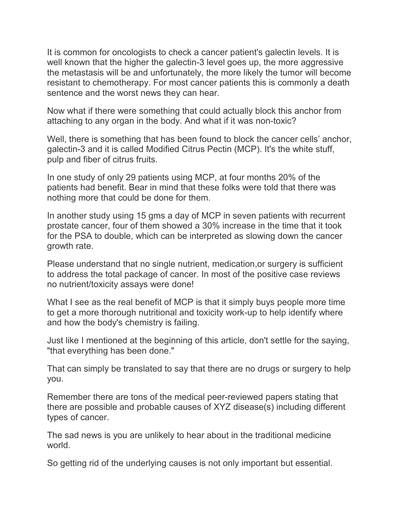It is common for oncologists to check a cancer patient's galectin levels. It is well known that the higher the galectin-3 level goes up, the more aggressive the metastasis will be and unfortunately, the more likely the tumor will become resistant to chemotherapy. For most cancer patients this is commonly a death sentence and the worst news they can hear.

Now what if there were something that could actually block this anchor from attaching to any organ in the body. And what if it was non-toxic?

Well, there is something that has been found to block the cancer cells' anchor, galectin-3 and it is called Modified Citrus Pectin (MCP). It's the white stuff, pulp and fiber of citrus fruits.

In one study of only 29 patients using MCP, at four months 20% of the patients had benefit. Bear in mind that these folks were told that there was nothing more that could be done for them.

In another study using 15 gms a day of MCP in seven patients with recurrent prostate cancer, four of them showed a 30% increase in the time that it took for the PSA to double, which can be interpreted as slowing down the cancer growth rate.

Please understand that no single nutrient, medication,or surgery is sufficient to address the total package of cancer. In most of the positive case reviews no nutrient/toxicity assays were done!

What I see as the real benefit of MCP is that it simply buys people more time to get a more thorough nutritional and toxicity work-up to help identify where and how the body's chemistry is failing.

Just like I mentioned at the beginning of this article, don't settle for the saying, "that everything has been done."

That can simply be translated to say that there are no drugs or surgery to help you.

Remember there are tons of the medical peer-reviewed papers stating that there are possible and probable causes of XYZ disease(s) including different types of cancer.

The sad news is you are unlikely to hear about in the traditional medicine world.

So getting rid of the underlying causes is not only important but essential.